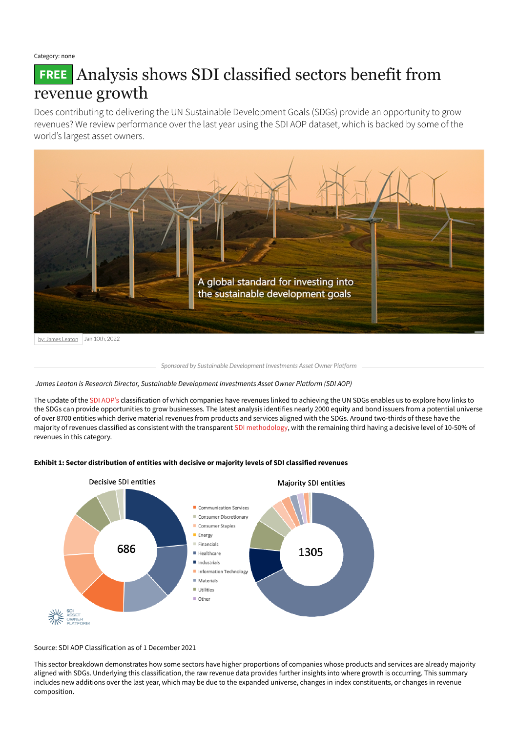Category: none

# **FREE** Analysis shows SDI classified sectors benefit from revenue growth

Does contributing to delivering the UN Sustainable Development Goals (SDGs) provide an opportunity to grow revenues? We review performance over the last year using the SDI AOP dataset, which is backed by some of the world's largest asset owners.

*James Leaton is Research Director, Sustainable Development Investments Asset Owner Platform (SDI AOP)*

The update of the SDI [AOP's](https://www.sdi-aop.org/) classification of which companies have revenues linked to achieving the UN SDGs enables us to explore how links to the SDGs can provide opportunities to grow businesses. The latest analysis identifies nearly 2000 equity and bond issuers from a potential universe of over 8700 entities which derive material revenues from products and services aligned with the SDGs. Around two-thirds of these have the majority of revenues classified as consistent with the transparent SDI [methodology,](https://www.sdi-aop.org/how-it-works/) with the remaining third having a decisive level of 10-50% of revenues in this category.





#### Source: SDI AOP Classification as of 1 December 2021

This sector breakdown demonstrates how some sectors have higher proportions of companies whose products and services are already majority aligned with SDGs. Underlying this classification, the raw revenue data provides further insights into where growth is occurring. This summary includes new additions over the last year, which may be due to the expanded universe, changes in index constituents, or changes in revenue composition.



*Sponsored by Sustainable Development Investments Asset Owner Platform*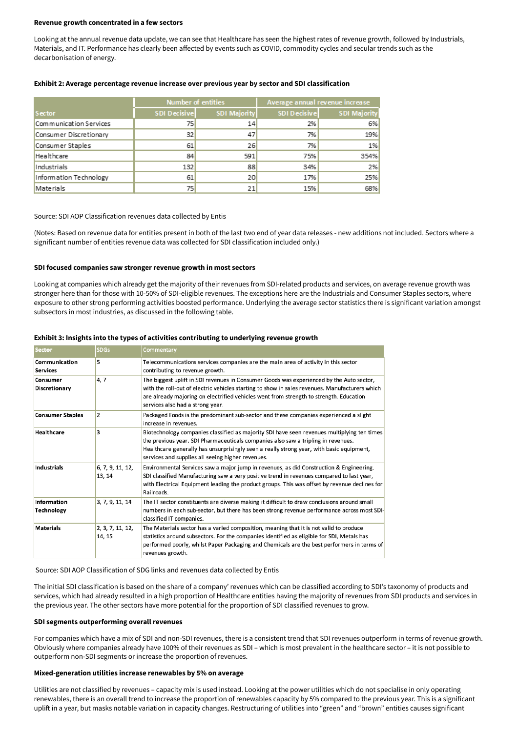#### **Revenue growth concentrated in a few sectors**

Looking at the annual revenue data update, we can see that Healthcare has seen the highest rates of revenue growth, followed by Industrials, Materials, and IT. Performance has clearly been affected by events such as COVID, commodity cycles and secular trends such as the decarbonisation of energy.

|                        | Number of entities  |              | Average annual revenue increase |                     |
|------------------------|---------------------|--------------|---------------------------------|---------------------|
| Sector                 | <b>SDI Decisive</b> | SDI Majority | SDI Decisive                    | <b>SDI Majority</b> |
| Communication Services | 75                  | 14           | 2%                              | 6%                  |
| Consumer Discretionary | 32                  | 47           | 7%                              | 19%                 |
| Consumer Staples       | 61                  | 26           | 7%                              | 1%                  |
| Healthcare             | 84                  | 591          | 75%                             | 354%                |
| Industrials            | 132                 | 88           | 34%                             | 2%                  |
| Information Technology | 61                  | 20           | 17%                             | 25%                 |
| Materials              | 75                  | 21           | 15%                             | 68%                 |

## **Exhibit 2: Average percentage revenue increase over previous year by sector and SDI classification**

## Source: SDI AOP Classification revenues data collected by Entis

(Notes: Based on revenue data for entities present in both of the last two end of year data releases - new additions not included. Sectors where a significant number of entities revenue data was collected for SDI classification included only.)

# **SDI focused companies saw stronger revenue growth in most sectors**

Looking at companies which already get the majority of their revenues from SDI-related products and services, on average revenue growth was stronger here than for those with 10-50% of SDI-eligible revenues. The exceptions here are the Industrials and Consumer Staples sectors, where exposure to other strong performing activities boosted performance. Underlying the average sector statistics there is significant variation amongst subsectors in most industries, as discussed in the following table.

| <b>Sector</b>                           | <b>SDGs</b>                | Commentary                                                                                                                                                                                                                                                                                                                        |  |
|-----------------------------------------|----------------------------|-----------------------------------------------------------------------------------------------------------------------------------------------------------------------------------------------------------------------------------------------------------------------------------------------------------------------------------|--|
| Communication<br><b>Services</b>        | 5                          | Telecommunications services companies are the main area of activity in this sector<br>contributing to revenue growth.                                                                                                                                                                                                             |  |
| <b>Consumer</b><br><b>Discretionary</b> | 4, 7                       | The biggest uplift in SDI revenues in Consumer Goods was experienced by the Auto sector,<br>with the roll-out of electric vehicles starting to show in sales revenues. Manufacturers which<br>are already majoring on electrified vehicles went from strength to strength. Education<br>services also had a strong year.          |  |
| <b>Consumer Staples</b>                 | 2                          | Packaged Foods is the predominant sub-sector and these companies experienced a slight<br>increase in revenues.                                                                                                                                                                                                                    |  |
| Healthcare                              | 3                          | Biotechnology companies classified as majority SDI have seen revenues multiplying ten times<br>the previous year. SDI Pharmaceuticals companies also saw a tripling in revenues.<br>Healthcare generally has unsurprisingly seen a really strong year, with basic equipment,<br>services and supplies all seeing higher revenues. |  |
| Industrials                             | 6, 7, 9, 11, 12,<br>13, 14 | Environmental Services saw a major jump in revenues, as did Construction & Engineering.<br>SDI classified Manufacturing saw a very positive trend in revenues compared to last year,<br>with Electrical Equipment leading the product groups. This was offset by revenue declines for<br>Railroads.                               |  |
| Information<br>Technology               | 3, 7, 9, 11, 14            | The IT sector constituents are diverse making it difficult to draw conclusions around small<br>numbers in each sub-sector, but there has been strong revenue performance across most SDI-<br>classified IT companies.                                                                                                             |  |
| <b>Materials</b>                        | 2, 3, 7, 11, 12,<br>14, 15 | The Materials sector has a varied composition, meaning that it is not valid to produce<br>statistics around subsectors. For the companies identified as eligible for SDI, Metals has<br>performed poorly, whilst Paper Packaging and Chemicals are the best performers in terms of                                                |  |

## **Exhibit 3: Insights into the types of activities contributing to underlying revenue growth**

#### Source: SDI AOP Classification of SDG links and revenues data collected by Entis

The initial SDI classification is based on the share of a company' revenues which can be classified according to SDI's taxonomy of products and services, which had already resulted in a high proportion of Healthcare entities having the majority of revenues from SDI products and services in the previous year. The other sectors have more potential for the proportion of SDI classified revenues to grow.

#### **SDI segments outperforming overall revenues**

For companies which have a mix of SDI and non-SDI revenues, there is a consistent trend that SDI revenues outperform in terms of revenue growth. Obviously where companies already have 100% of their revenues as SDI – which is most prevalent in the healthcare sector – it is not possible to outperform non-SDI segments or increase the proportion of revenues.

#### **Mixed-generation utilities increase renewables by 5% on average**

Utilities are not classified by revenues – capacity mix is used instead. Looking at the power utilities which do not specialise in only operating renewables, there is an overall trend to increase the proportion of renewables capacity by 5% compared to the previous year. This is a significant uplift in a year, but masks notable variation in capacity changes. Restructuring of utilities into "green" and "brown" entities causes significant